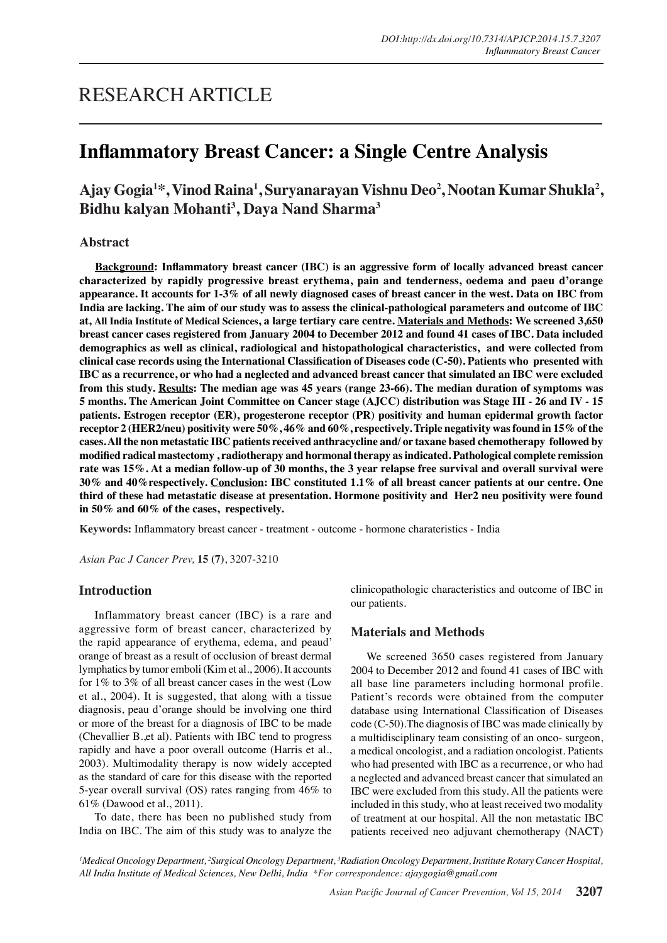# **Inflammatory Breast Cancer: a Single Centre Analysis**

## **Ajay Gogia<sup>1</sup> \*, Vinod Raina<sup>1</sup> , Suryanarayan Vishnu Deo<sup>2</sup> , Nootan Kumar Shukla<sup>2</sup> , Bidhu kalyan Mohanti<sup>3</sup> , Daya Nand Sharma<sup>3</sup>**

## **Abstract**

**Background: Inflammatory breast cancer (IBC) is an aggressive form of locally advanced breast cancer characterized by rapidly progressive breast erythema, pain and tenderness, oedema and paeu d'orange appearance. It accounts for 1-3% of all newly diagnosed cases of breast cancer in the west. Data on IBC from India are lacking. The aim of our study was to assess the clinical-pathological parameters and outcome of IBC at, All India Institute of Medical Sciences, a large tertiary care centre. Materials and Methods: We screened 3,650 breast cancer cases registered from January 2004 to December 2012 and found 41 cases of IBC. Data included demographics as well as clinical, radiological and histopathological characteristics, and were collected from clinical case records using the International Classification of Diseases code (C-50). Patients who presented with IBC as a recurrence, or who had a neglected and advanced breast cancer that simulated an IBC were excluded from this study. Results: The median age was 45 years (range 23-66). The median duration of symptoms was 5 months. The American Joint Committee on Cancer stage (AJCC) distribution was Stage III - 26 and IV - 15 patients. Estrogen receptor (ER), progesterone receptor (PR) positivity and human epidermal growth factor receptor 2 (HER2/neu) positivity were 50%, 46% and 60%, respectively. Triple negativity was found in 15% of the cases. All the non metastatic IBC patients received anthracycline and/ or taxane based chemotherapy followed by modified radical mastectomy , radiotherapy and hormonal therapy as indicated. Pathological complete remission rate was 15%. At a median follow-up of 30 months, the 3 year relapse free survival and overall survival were 30% and 40%respectively. Conclusion: IBC constituted 1.1% of all breast cancer patients at our centre. One third of these had metastatic disease at presentation. Hormone positivity and Her2 neu positivity were found in 50% and 60% of the cases, respectively.**

**Keywords:** Inflammatory breast cancer - treatment - outcome - hormone charateristics - India

*Asian Pac J Cancer Prev,* **15 (7)**, 3207-3210

#### **Introduction**

Inflammatory breast cancer (IBC) is a rare and aggressive form of breast cancer, characterized by the rapid appearance of erythema, edema, and peaud' orange of breast as a result of occlusion of breast dermal lymphatics by tumor emboli (Kim et al., 2006). It accounts for 1% to 3% of all breast cancer cases in the west (Low et al., 2004). It is suggested, that along with a tissue diagnosis, peau d'orange should be involving one third or more of the breast for a diagnosis of IBC to be made (Chevallier B.,et al). Patients with IBC tend to progress rapidly and have a poor overall outcome (Harris et al., 2003). Multimodality therapy is now widely accepted as the standard of care for this disease with the reported 5-year overall survival (OS) rates ranging from 46% to 61% (Dawood et al., 2011).

To date, there has been no published study from India on IBC. The aim of this study was to analyze the clinicopathologic characteristics and outcome of IBC in our patients.

### **Materials and Methods**

We screened 3650 cases registered from January 2004 to December 2012 and found 41 cases of IBC with all base line parameters including hormonal profile. Patient's records were obtained from the computer database using International Classification of Diseases code (C-50).The diagnosis of IBC was made clinically by a multidisciplinary team consisting of an onco- surgeon, a medical oncologist, and a radiation oncologist. Patients who had presented with IBC as a recurrence, or who had a neglected and advanced breast cancer that simulated an IBC were excluded from this study. All the patients were included in this study, who at least received two modality of treatment at our hospital. All the non metastatic IBC patients received neo adjuvant chemotherapy (NACT)

*1 Medical Oncology Department, 2 Surgical Oncology Department, 3 Radiation Oncology Department, Institute Rotary Cancer Hospital, All India Institute of Medical Sciences, New Delhi, India \*For correspondence: ajaygogia@gmail.com*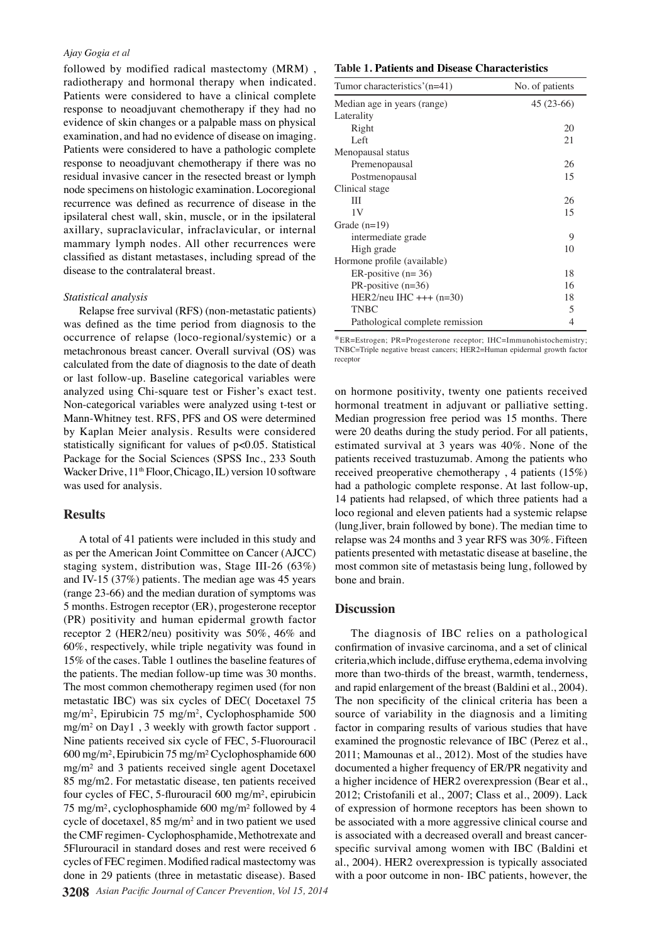#### *Ajay Gogia et al*

followed by modified radical mastectomy (MRM) , radiotherapy and hormonal therapy when indicated. Patients were considered to have a clinical complete response to neoadjuvant chemotherapy if they had no evidence of skin changes or a palpable mass on physical examination, and had no evidence of disease on imaging. Patients were considered to have a pathologic complete response to neoadjuvant chemotherapy if there was no residual invasive cancer in the resected breast or lymph node specimens on histologic examination. Locoregional recurrence was defined as recurrence of disease in the ipsilateral chest wall, skin, muscle, or in the ipsilateral axillary, supraclavicular, infraclavicular, or internal mammary lymph nodes. All other recurrences were classified as distant metastases, including spread of the disease to the contralateral breast.

#### *Statistical analysis*

Relapse free survival (RFS) (non-metastatic patients) was defined as the time period from diagnosis to the occurrence of relapse (loco-regional/systemic) or a metachronous breast cancer. Overall survival (OS) was calculated from the date of diagnosis to the date of death or last follow-up. Baseline categorical variables were analyzed using Chi-square test or Fisher's exact test. Non-categorical variables were analyzed using t-test or Mann-Whitney test. RFS, PFS and OS were determined by Kaplan Meier analysis. Results were considered statistically significant for values of p<0.05. Statistical Package for the Social Sciences (SPSS Inc., 233 South Wacker Drive, 11<sup>th</sup> Floor, Chicago, IL) version 10 software was used for analysis.

#### **Results**

A total of 41 patients were included in this study and as per the American Joint Committee on Cancer (AJCC) staging system, distribution was, Stage III-26 (63%) and IV-15 (37%) patients. The median age was 45 years (range 23-66) and the median duration of symptoms was 5 months. Estrogen receptor (ER), progesterone receptor (PR) positivity and human epidermal growth factor receptor 2 (HER2/neu) positivity was 50%, 46% and 60%, respectively, while triple negativity was found in 15% of the cases. Table 1 outlines the baseline features of the patients. The median follow-up time was 30 months. The most common chemotherapy regimen used (for non metastatic IBC) was six cycles of DEC( Docetaxel 75 mg/m2 , Epirubicin 75 mg/m2 , Cyclophosphamide 500 mg/m2 on Day1 , 3 weekly with growth factor support . Nine patients received six cycle of FEC, 5-Fluorouracil 600 mg/m², Epirubicin 75 mg/m² Cyclophosphamide 600 mg/m² and 3 patients received single agent Docetaxel 85 mg/m2. For metastatic disease, ten patients received four cycles of FEC, 5-flurouracil 600 mg/m², epirubicin 75 mg/m², cyclophosphamide 600 mg/m² followed by 4 cycle of docetaxel, 85 mg/m2 and in two patient we used the CMF regimen- Cyclophosphamide, Methotrexate and 5Flurouracil in standard doses and rest were received 6 cycles of FEC regimen. Modified radical mastectomy was done in 29 patients (three in metastatic disease). Based

#### **Table 1. Patients and Disease Characteristics**

| Tumor characteristics'(n=41)    | No. of patients |
|---------------------------------|-----------------|
| Median age in years (range)     | $45(23-66)$     |
| Laterality                      |                 |
| Right                           | 20              |
| Left                            | 21              |
| Menopausal status               |                 |
| Premenopausal                   | 26              |
| Postmenopausal                  | 15              |
| Clinical stage                  |                 |
| Ш                               | 26              |
| 1 V                             | 15              |
| Grade $(n=19)$                  |                 |
| intermediate grade              | 9               |
| High grade                      | 10              |
| Hormone profile (available)     |                 |
| ER-positive $(n=36)$            | 18              |
| PR-positive $(n=36)$            | 16              |
| HER2/neu IHC $++(n=30)$         | 18              |
| <b>TNBC</b>                     | 5               |
| Pathological complete remission | 4               |

\*ER=Estrogen; PR=Progesterone receptor; IHC=Immunohistochemistry; TNBC=Triple negative breast cancers; HER2=Human epidermal growth factor receptor

on hormone positivity, twenty one patients received hormonal treatment in adjuvant or palliative setting. Median progression free period was 15 months. There were 20 deaths during the study period. For all patients, estimated survival at 3 years was 40%. None of the patients received trastuzumab. Among the patients who received preoperative chemotherapy , 4 patients (15%) had a pathologic complete response. At last follow-up, 14 patients had relapsed, of which three patients had a loco regional and eleven patients had a systemic relapse (lung,liver, brain followed by bone). The median time to relapse was 24 months and 3 year RFS was 30%. Fifteen patients presented with metastatic disease at baseline, the most common site of metastasis being lung, followed by bone and brain.

#### **Discussion**

The diagnosis of IBC relies on a pathological confirmation of invasive carcinoma, and a set of clinical criteria,which include, diffuse erythema, edema involving more than two-thirds of the breast, warmth, tenderness, and rapid enlargement of the breast (Baldini et al., 2004). The non specificity of the clinical criteria has been a source of variability in the diagnosis and a limiting factor in comparing results of various studies that have examined the prognostic relevance of IBC (Perez et al., 2011; Mamounas et al., 2012). Most of the studies have documented a higher frequency of ER/PR negativity and a higher incidence of HER2 overexpression (Bear et al., 2012; Cristofanili et al., 2007; Class et al., 2009). Lack of expression of hormone receptors has been shown to be associated with a more aggressive clinical course and is associated with a decreased overall and breast cancerspecific survival among women with IBC (Baldini et al., 2004). HER2 overexpression is typically associated with a poor outcome in non- IBC patients, however, the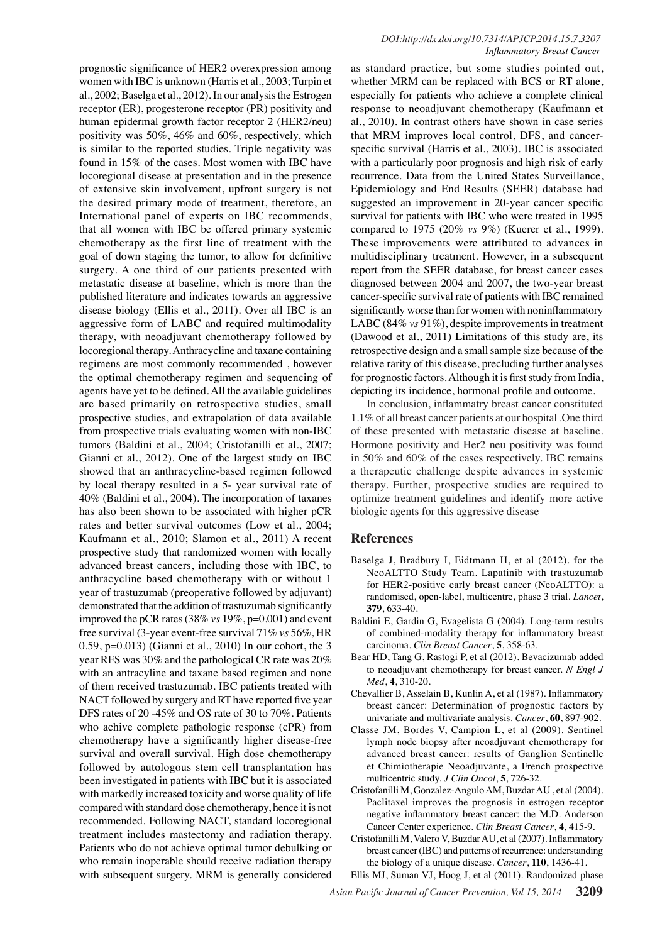prognostic significance of HER2 overexpression among women with IBC is unknown (Harris et al., 2003; Turpin et al., 2002; Baselga et al., 2012). In our analysis the Estrogen receptor (ER), progesterone receptor (PR) positivity and human epidermal growth factor receptor 2 (HER2/neu) positivity was 50%, 46% and 60%, respectively, which is similar to the reported studies. Triple negativity was found in 15% of the cases. Most women with IBC have locoregional disease at presentation and in the presence of extensive skin involvement, upfront surgery is not the desired primary mode of treatment, therefore, an International panel of experts on IBC recommends, that all women with IBC be offered primary systemic chemotherapy as the first line of treatment with the goal of down staging the tumor, to allow for definitive surgery. A one third of our patients presented with metastatic disease at baseline, which is more than the published literature and indicates towards an aggressive disease biology (Ellis et al., 2011). Over all IBC is an aggressive form of LABC and required multimodality therapy, with neoadjuvant chemotherapy followed by locoregional therapy. Anthracycline and taxane containing regimens are most commonly recommended , however the optimal chemotherapy regimen and sequencing of agents have yet to be defined. All the available guidelines are based primarily on retrospective studies, small prospective studies, and extrapolation of data available from prospective trials evaluating women with non-IBC tumors (Baldini et al., 2004; Cristofanilli et al., 2007; Gianni et al., 2012). One of the largest study on IBC showed that an anthracycline-based regimen followed by local therapy resulted in a 5- year survival rate of 40% (Baldini et al., 2004). The incorporation of taxanes has also been shown to be associated with higher pCR rates and better survival outcomes (Low et al., 2004; Kaufmann et al., 2010; Slamon et al., 2011) A recent prospective study that randomized women with locally advanced breast cancers, including those with IBC, to anthracycline based chemotherapy with or without 1 year of trastuzumab (preoperative followed by adjuvant) demonstrated that the addition of trastuzumab significantly improved the pCR rates (38% *vs* 19%, p=0.001) and event free survival (3-year event-free survival 71% *vs* 56%, HR 0.59, p=0.013) (Gianni et al., 2010) In our cohort, the 3 year RFS was 30% and the pathological CR rate was 20% with an antracyline and taxane based regimen and none of them received trastuzumab. IBC patients treated with NACT followed by surgery and RT have reported five year DFS rates of 20 -45% and OS rate of 30 to 70%. Patients who achive complete pathologic response (cPR) from chemotherapy have a significantly higher disease-free survival and overall survival. High dose chemotherapy followed by autologous stem cell transplantation has been investigated in patients with IBC but it is associated with markedly increased toxicity and worse quality of life compared with standard dose chemotherapy, hence it is not recommended. Following NACT, standard locoregional treatment includes mastectomy and radiation therapy. Patients who do not achieve optimal tumor debulking or who remain inoperable should receive radiation therapy with subsequent surgery. MRM is generally considered

#### *DOI:http://dx.doi.org/10.7314/APJCP.2014.15.7.3207 Inflammatory Breast Cancer*

as standard practice, but some studies pointed out, whether MRM can be replaced with BCS or RT alone, especially for patients who achieve a complete clinical response to neoadjuvant chemotherapy (Kaufmann et al., 2010). In contrast others have shown in case series that MRM improves local control, DFS, and cancerspecific survival (Harris et al., 2003). IBC is associated with a particularly poor prognosis and high risk of early recurrence. Data from the United States Surveillance, Epidemiology and End Results (SEER) database had suggested an improvement in 20-year cancer specific survival for patients with IBC who were treated in 1995 compared to 1975 (20% *vs* 9%) (Kuerer et al., 1999). These improvements were attributed to advances in multidisciplinary treatment. However, in a subsequent report from the SEER database, for breast cancer cases diagnosed between 2004 and 2007, the two-year breast cancer-specific survival rate of patients with IBC remained significantly worse than for women with noninflammatory LABC (84% *vs* 91%), despite improvements in treatment (Dawood et al., 2011) Limitations of this study are, its retrospective design and a small sample size because of the relative rarity of this disease, precluding further analyses for prognostic factors. Although it is first study from India, depicting its incidence, hormonal profile and outcome.

In conclusion, inflammatry breast cancer constituted 1.1% of all breast cancer patients at our hospital .One third of these presented with metastatic disease at baseline. Hormone positivity and Her2 neu positivity was found in 50% and 60% of the cases respectively. IBC remains a therapeutic challenge despite advances in systemic therapy. Further, prospective studies are required to optimize treatment guidelines and identify more active biologic agents for this aggressive disease

## **References**

- Baselga J, Bradbury I, Eidtmann H, et al (2012). for the NeoALTTO Study Team. Lapatinib with trastuzumab for HER2-positive early breast cancer (NeoALTTO): a randomised, open-label, multicentre, phase 3 trial. *Lancet*, **379**, 633-40.
- Baldini E, Gardin G, Evagelista G (2004). Long-term results of combined-modality therapy for inflammatory breast carcinoma. *Clin Breast Cancer*, **5**, 358-63.
- Bear HD, Tang G, Rastogi P, et al (2012). Bevacizumab added to neoadjuvant chemotherapy for breast cancer. *N Engl J Med*, **4**, 310-20.
- Chevallier B, Asselain B, Kunlin A, et al (1987). Inflammatory breast cancer: Determination of prognostic factors by univariate and multivariate analysis. *Cancer*, **60**, 897-902.
- Classe JM, Bordes V, Campion L, et al (2009). Sentinel lymph node biopsy after neoadjuvant chemotherapy for advanced breast cancer: results of Ganglion Sentinelle et Chimiotherapie Neoadjuvante, a French prospective multicentric study. *J Clin Oncol*, **5**, 726-32.
- Cristofanilli M, Gonzalez-Angulo AM, Buzdar AU , et al (2004). Paclitaxel improves the prognosis in estrogen receptor negative inflammatory breast cancer: the M.D. Anderson Cancer Center experience. *Clin Breast Cancer*, **4**, 415-9.
- Cristofanilli M, Valero V, Buzdar AU, et al (2007). Inflammatory breast cancer (IBC) and patterns of recurrence: understanding the biology of a unique disease. *Cancer*, **110**, 1436-41.
- Ellis MJ, Suman VJ, Hoog J, et al (2011). Randomized phase